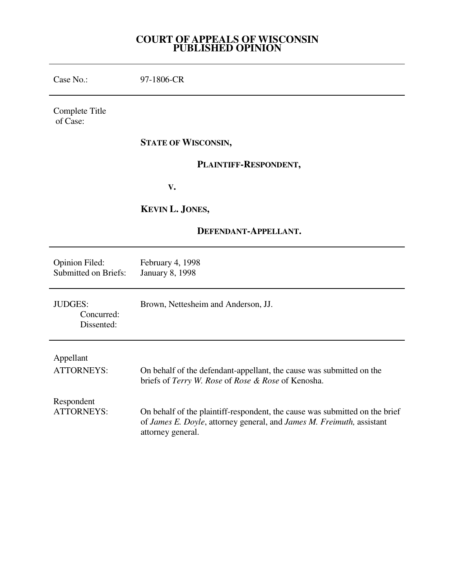### **COURT OF APPEALS OF WISCONSIN PUBLISHED OPINION**

Case No.: 97-1806-CR

Complete Title of Case:

### **STATE OF WISCONSIN,**

### **PLAINTIFF-RESPONDENT,**

 **V.** 

# **KEVIN L. JONES,**

# **DEFENDANT-APPELLANT.**

| Opinion Filed:                             | February 4, 1998                                                                                                                                                          |
|--------------------------------------------|---------------------------------------------------------------------------------------------------------------------------------------------------------------------------|
| <b>Submitted on Briefs:</b>                | <b>January 8, 1998</b>                                                                                                                                                    |
| <b>JUDGES:</b><br>Concurred:<br>Dissented: | Brown, Nettesheim and Anderson, JJ.                                                                                                                                       |
| Appellant                                  | On behalf of the defendant-appellant, the cause was submitted on the                                                                                                      |
| <b>ATTORNEYS:</b>                          | briefs of Terry W. Rose of Rose & Rose of Kenosha.                                                                                                                        |
| Respondent<br><b>ATTORNEYS:</b>            | On behalf of the plaintiff-respondent, the cause was submitted on the brief<br>of James E. Doyle, attorney general, and James M. Freimuth, assistant<br>attorney general. |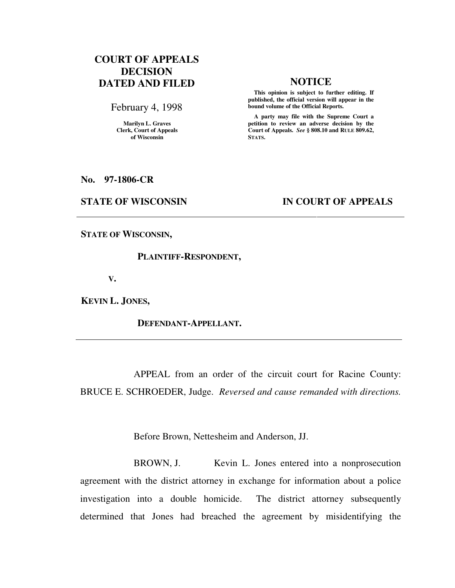# **COURT OF APPEALS DECISION DATED AND FILED NOTICE**

February 4, 1998

**Marilyn L. Graves Clerk, Court of Appeals of Wisconsin** 

 **This opinion is subject to further editing. If published, the official version will appear in the bound volume of the Official Reports.**

 **A party may file with the Supreme Court a petition to review an adverse decision by the Court of Appeals.** *See* **§ 808.10 and RULE 809.62, STATS.** 

**No. 97-1806-CR** 

### **STATE OF WISCONSIN IN COURT OF APPEALS**

**STATE OF WISCONSIN,** 

### **PLAINTIFF-RESPONDENT,**

 **V.** 

**KEVIN L. JONES,** 

### **DEFENDANT-APPELLANT.**

 APPEAL from an order of the circuit court for Racine County: BRUCE E. SCHROEDER, Judge. *Reversed and cause remanded with directions.*

Before Brown, Nettesheim and Anderson, JJ.

 BROWN, J. Kevin L. Jones entered into a nonprosecution agreement with the district attorney in exchange for information about a police investigation into a double homicide. The district attorney subsequently determined that Jones had breached the agreement by misidentifying the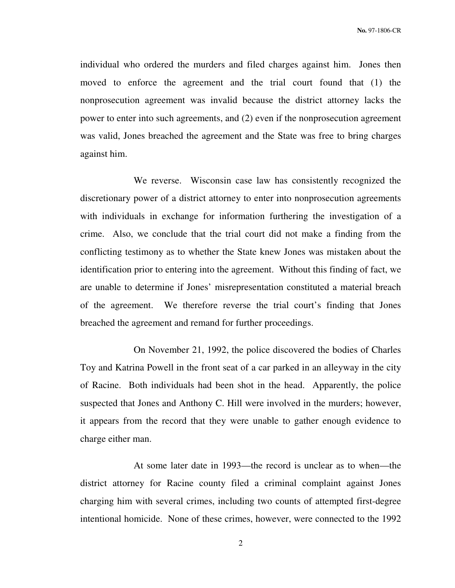individual who ordered the murders and filed charges against him. Jones then moved to enforce the agreement and the trial court found that (1) the nonprosecution agreement was invalid because the district attorney lacks the power to enter into such agreements, and (2) even if the nonprosecution agreement was valid, Jones breached the agreement and the State was free to bring charges against him.

 We reverse. Wisconsin case law has consistently recognized the discretionary power of a district attorney to enter into nonprosecution agreements with individuals in exchange for information furthering the investigation of a crime. Also, we conclude that the trial court did not make a finding from the conflicting testimony as to whether the State knew Jones was mistaken about the identification prior to entering into the agreement. Without this finding of fact, we are unable to determine if Jones' misrepresentation constituted a material breach of the agreement. We therefore reverse the trial court's finding that Jones breached the agreement and remand for further proceedings.

 On November 21, 1992, the police discovered the bodies of Charles Toy and Katrina Powell in the front seat of a car parked in an alleyway in the city of Racine. Both individuals had been shot in the head. Apparently, the police suspected that Jones and Anthony C. Hill were involved in the murders; however, it appears from the record that they were unable to gather enough evidence to charge either man.

 At some later date in 1993—the record is unclear as to when—the district attorney for Racine county filed a criminal complaint against Jones charging him with several crimes, including two counts of attempted first-degree intentional homicide. None of these crimes, however, were connected to the 1992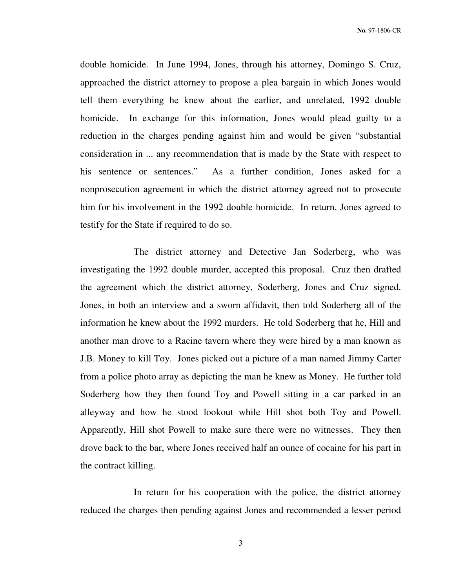double homicide. In June 1994, Jones, through his attorney, Domingo S. Cruz, approached the district attorney to propose a plea bargain in which Jones would tell them everything he knew about the earlier, and unrelated, 1992 double homicide. In exchange for this information, Jones would plead guilty to a reduction in the charges pending against him and would be given "substantial consideration in ... any recommendation that is made by the State with respect to his sentence or sentences." As a further condition, Jones asked for a nonprosecution agreement in which the district attorney agreed not to prosecute him for his involvement in the 1992 double homicide. In return, Jones agreed to testify for the State if required to do so.

 The district attorney and Detective Jan Soderberg, who was investigating the 1992 double murder, accepted this proposal. Cruz then drafted the agreement which the district attorney, Soderberg, Jones and Cruz signed. Jones, in both an interview and a sworn affidavit, then told Soderberg all of the information he knew about the 1992 murders. He told Soderberg that he, Hill and another man drove to a Racine tavern where they were hired by a man known as J.B. Money to kill Toy. Jones picked out a picture of a man named Jimmy Carter from a police photo array as depicting the man he knew as Money. He further told Soderberg how they then found Toy and Powell sitting in a car parked in an alleyway and how he stood lookout while Hill shot both Toy and Powell. Apparently, Hill shot Powell to make sure there were no witnesses. They then drove back to the bar, where Jones received half an ounce of cocaine for his part in the contract killing.

 In return for his cooperation with the police, the district attorney reduced the charges then pending against Jones and recommended a lesser period

3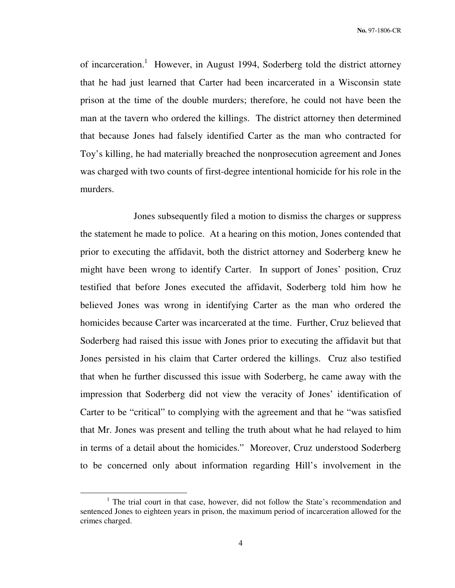of incarceration.<sup>1</sup> However, in August 1994, Soderberg told the district attorney that he had just learned that Carter had been incarcerated in a Wisconsin state prison at the time of the double murders; therefore, he could not have been the man at the tavern who ordered the killings. The district attorney then determined that because Jones had falsely identified Carter as the man who contracted for Toy's killing, he had materially breached the nonprosecution agreement and Jones was charged with two counts of first-degree intentional homicide for his role in the murders.

 Jones subsequently filed a motion to dismiss the charges or suppress the statement he made to police. At a hearing on this motion, Jones contended that prior to executing the affidavit, both the district attorney and Soderberg knew he might have been wrong to identify Carter. In support of Jones' position, Cruz testified that before Jones executed the affidavit, Soderberg told him how he believed Jones was wrong in identifying Carter as the man who ordered the homicides because Carter was incarcerated at the time. Further, Cruz believed that Soderberg had raised this issue with Jones prior to executing the affidavit but that Jones persisted in his claim that Carter ordered the killings. Cruz also testified that when he further discussed this issue with Soderberg, he came away with the impression that Soderberg did not view the veracity of Jones' identification of Carter to be "critical" to complying with the agreement and that he "was satisfied that Mr. Jones was present and telling the truth about what he had relayed to him in terms of a detail about the homicides." Moreover, Cruz understood Soderberg to be concerned only about information regarding Hill's involvement in the

 $\overline{a}$ 

<sup>&</sup>lt;sup>1</sup> The trial court in that case, however, did not follow the State's recommendation and sentenced Jones to eighteen years in prison, the maximum period of incarceration allowed for the crimes charged.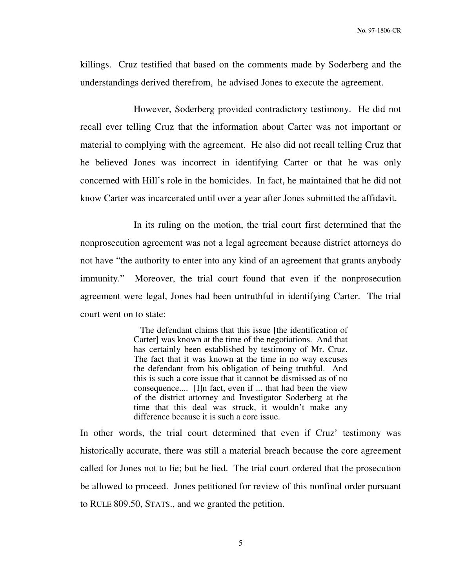killings. Cruz testified that based on the comments made by Soderberg and the understandings derived therefrom, he advised Jones to execute the agreement.

 However, Soderberg provided contradictory testimony. He did not recall ever telling Cruz that the information about Carter was not important or material to complying with the agreement. He also did not recall telling Cruz that he believed Jones was incorrect in identifying Carter or that he was only concerned with Hill's role in the homicides. In fact, he maintained that he did not know Carter was incarcerated until over a year after Jones submitted the affidavit.

 In its ruling on the motion, the trial court first determined that the nonprosecution agreement was not a legal agreement because district attorneys do not have "the authority to enter into any kind of an agreement that grants anybody immunity." Moreover, the trial court found that even if the nonprosecution agreement were legal, Jones had been untruthful in identifying Carter. The trial court went on to state:

> The defendant claims that this issue [the identification of Carter] was known at the time of the negotiations. And that has certainly been established by testimony of Mr. Cruz. The fact that it was known at the time in no way excuses the defendant from his obligation of being truthful. And this is such a core issue that it cannot be dismissed as of no consequence.... [I]n fact, even if ... that had been the view of the district attorney and Investigator Soderberg at the time that this deal was struck, it wouldn't make any difference because it is such a core issue.

In other words, the trial court determined that even if Cruz' testimony was historically accurate, there was still a material breach because the core agreement called for Jones not to lie; but he lied. The trial court ordered that the prosecution be allowed to proceed. Jones petitioned for review of this nonfinal order pursuant to RULE 809.50, STATS., and we granted the petition.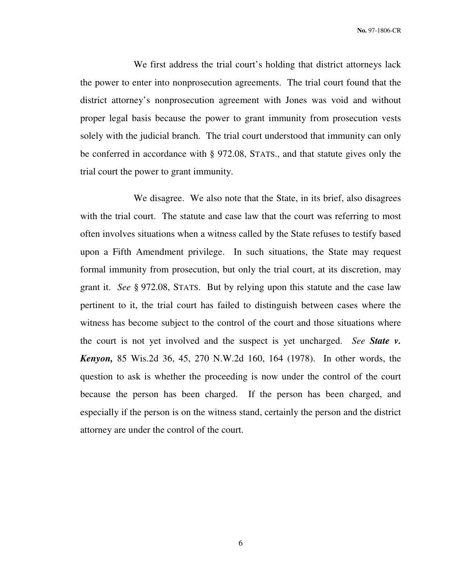We first address the trial court's holding that district attorneys lack the power to enter into nonprosecution agreements. The trial court found that the district attorney's nonprosecution agreement with Jones was void and without proper legal basis because the power to grant immunity from prosecution vests solely with the judicial branch. The trial court understood that immunity can only be conferred in accordance with § 972.08, STATS., and that statute gives only the trial court the power to grant immunity.

 We disagree. We also note that the State, in its brief, also disagrees with the trial court. The statute and case law that the court was referring to most often involves situations when a witness called by the State refuses to testify based upon a Fifth Amendment privilege. In such situations, the State may request formal immunity from prosecution, but only the trial court, at its discretion, may grant it. *See* § 972.08, STATS. But by relying upon this statute and the case law pertinent to it, the trial court has failed to distinguish between cases where the witness has become subject to the control of the court and those situations where the court is not yet involved and the suspect is yet uncharged. *See State v. Kenyon,* 85 Wis.2d 36, 45, 270 N.W.2d 160, 164 (1978). In other words, the question to ask is whether the proceeding is now under the control of the court because the person has been charged. If the person has been charged, and especially if the person is on the witness stand, certainly the person and the district attorney are under the control of the court.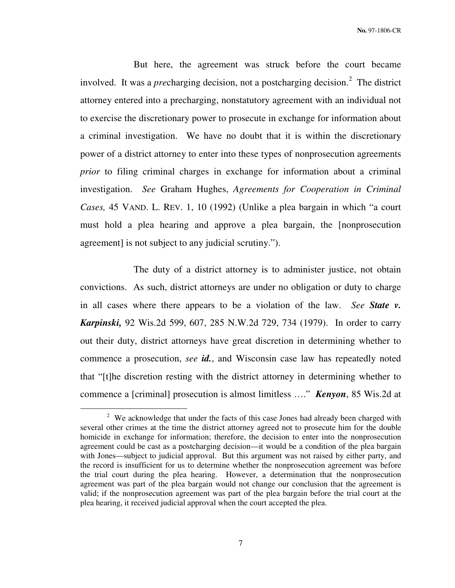But here, the agreement was struck before the court became involved. It was a *pre*charging decision, not a postcharging decision.<sup>2</sup> The district attorney entered into a precharging, nonstatutory agreement with an individual not to exercise the discretionary power to prosecute in exchange for information about a criminal investigation. We have no doubt that it is within the discretionary power of a district attorney to enter into these types of nonprosecution agreements *prior* to filing criminal charges in exchange for information about a criminal investigation. *See* Graham Hughes, *Agreements for Cooperation in Criminal Cases,* 45 VAND. L. REV. 1, 10 (1992) (Unlike a plea bargain in which "a court must hold a plea hearing and approve a plea bargain, the [nonprosecution agreement] is not subject to any judicial scrutiny.").

 The duty of a district attorney is to administer justice, not obtain convictions. As such, district attorneys are under no obligation or duty to charge in all cases where there appears to be a violation of the law. *See State v. Karpinski,* 92 Wis.2d 599, 607, 285 N.W.2d 729, 734 (1979). In order to carry out their duty, district attorneys have great discretion in determining whether to commence a prosecution, *see id.*, and Wisconsin case law has repeatedly noted that "[t]he discretion resting with the district attorney in determining whether to commence a [criminal] prosecution is almost limitless …." *Kenyon*, 85 Wis.2d at

 $\overline{a}$ 

 $2$  We acknowledge that under the facts of this case Jones had already been charged with several other crimes at the time the district attorney agreed not to prosecute him for the double homicide in exchange for information; therefore, the decision to enter into the nonprosecution agreement could be cast as a postcharging decision—it would be a condition of the plea bargain with Jones—subject to judicial approval. But this argument was not raised by either party, and the record is insufficient for us to determine whether the nonprosecution agreement was before the trial court during the plea hearing. However, a determination that the nonprosecution agreement was part of the plea bargain would not change our conclusion that the agreement is valid; if the nonprosecution agreement was part of the plea bargain before the trial court at the plea hearing, it received judicial approval when the court accepted the plea.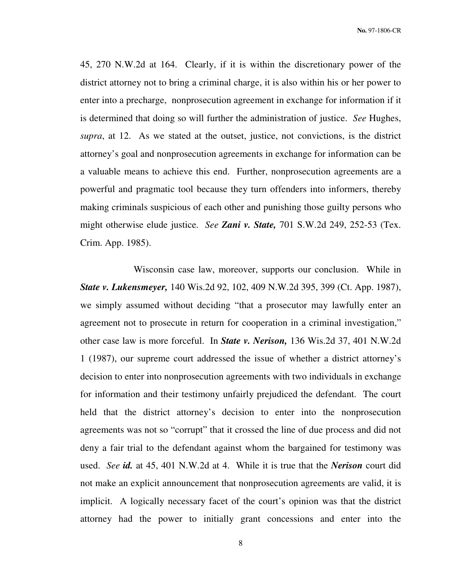45, 270 N.W.2d at 164. Clearly, if it is within the discretionary power of the district attorney not to bring a criminal charge, it is also within his or her power to enter into a precharge, nonprosecution agreement in exchange for information if it is determined that doing so will further the administration of justice. *See* Hughes, *supra*, at 12. As we stated at the outset, justice, not convictions, is the district attorney's goal and nonprosecution agreements in exchange for information can be a valuable means to achieve this end. Further, nonprosecution agreements are a powerful and pragmatic tool because they turn offenders into informers, thereby making criminals suspicious of each other and punishing those guilty persons who might otherwise elude justice. *See Zani v. State,* 701 S.W.2d 249, 252-53 (Tex. Crim. App. 1985).

 Wisconsin case law, moreover, supports our conclusion. While in *State v. Lukensmeyer,* 140 Wis.2d 92, 102, 409 N.W.2d 395, 399 (Ct. App. 1987), we simply assumed without deciding "that a prosecutor may lawfully enter an agreement not to prosecute in return for cooperation in a criminal investigation," other case law is more forceful. In *State v. Nerison,* 136 Wis.2d 37, 401 N.W.2d 1 (1987), our supreme court addressed the issue of whether a district attorney's decision to enter into nonprosecution agreements with two individuals in exchange for information and their testimony unfairly prejudiced the defendant. The court held that the district attorney's decision to enter into the nonprosecution agreements was not so "corrupt" that it crossed the line of due process and did not deny a fair trial to the defendant against whom the bargained for testimony was used. *See id.* at 45, 401 N.W.2d at 4. While it is true that the *Nerison* court did not make an explicit announcement that nonprosecution agreements are valid, it is implicit. A logically necessary facet of the court's opinion was that the district attorney had the power to initially grant concessions and enter into the

8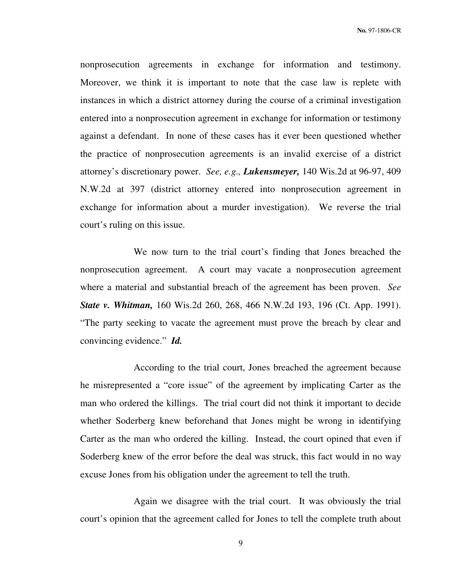nonprosecution agreements in exchange for information and testimony. Moreover, we think it is important to note that the case law is replete with instances in which a district attorney during the course of a criminal investigation entered into a nonprosecution agreement in exchange for information or testimony against a defendant. In none of these cases has it ever been questioned whether the practice of nonprosecution agreements is an invalid exercise of a district attorney's discretionary power. *See, e.g., Lukensmeyer,* 140 Wis.2d at 96-97, 409 N.W.2d at 397 (district attorney entered into nonprosecution agreement in exchange for information about a murder investigation). We reverse the trial court's ruling on this issue.

 We now turn to the trial court's finding that Jones breached the nonprosecution agreement. A court may vacate a nonprosecution agreement where a material and substantial breach of the agreement has been proven. *See State v. Whitman,* 160 Wis.2d 260, 268, 466 N.W.2d 193, 196 (Ct. App. 1991). "The party seeking to vacate the agreement must prove the breach by clear and convincing evidence." *Id.*

 According to the trial court, Jones breached the agreement because he misrepresented a "core issue" of the agreement by implicating Carter as the man who ordered the killings. The trial court did not think it important to decide whether Soderberg knew beforehand that Jones might be wrong in identifying Carter as the man who ordered the killing. Instead, the court opined that even if Soderberg knew of the error before the deal was struck, this fact would in no way excuse Jones from his obligation under the agreement to tell the truth.

 Again we disagree with the trial court. It was obviously the trial court's opinion that the agreement called for Jones to tell the complete truth about